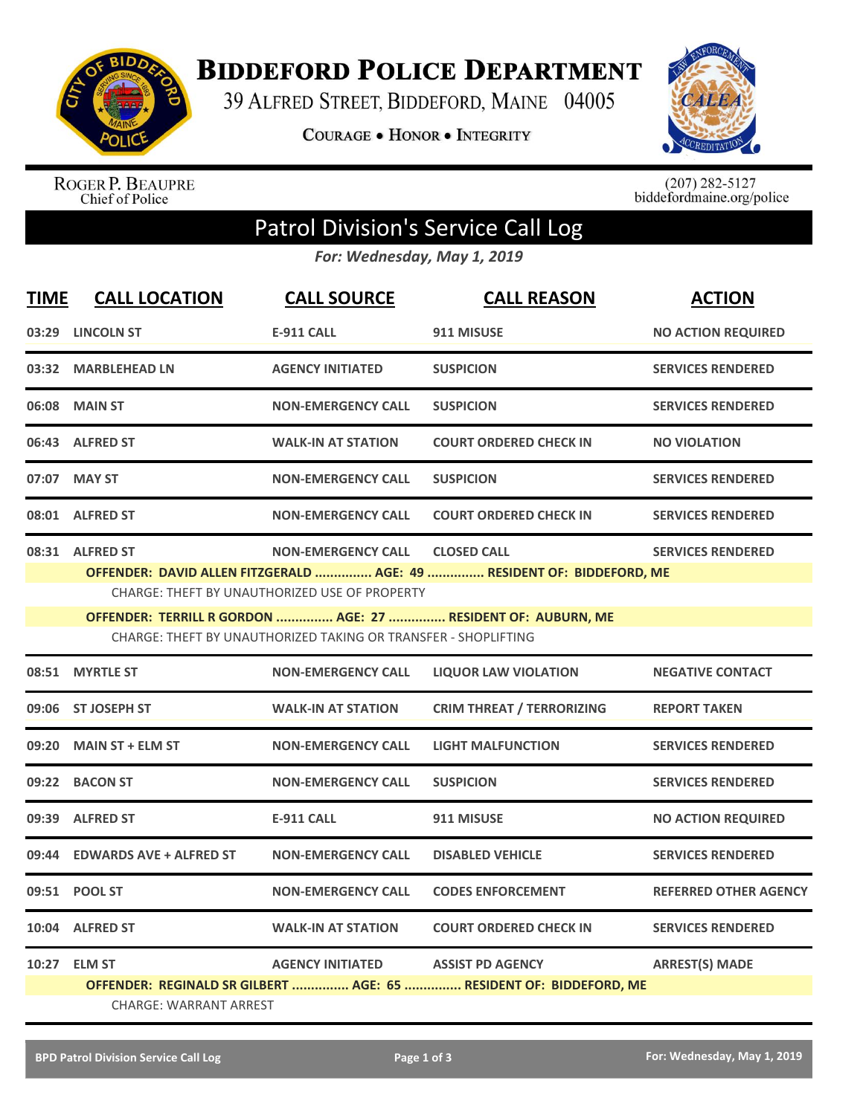

**BIDDEFORD POLICE DEPARTMENT** 

39 ALFRED STREET, BIDDEFORD, MAINE 04005

COURAGE . HONOR . INTEGRITY



ROGER P. BEAUPRE<br>Chief of Police

 $(207)$  282-5127<br>biddefordmaine.org/police

## Patrol Division's Service Call Log

*For: Wednesday, May 1, 2019*

| <b>TIME</b> | <b>CALL LOCATION</b>          | <b>CALL SOURCE</b>                                             | <b>CALL REASON</b>                                                    | <b>ACTION</b>                |
|-------------|-------------------------------|----------------------------------------------------------------|-----------------------------------------------------------------------|------------------------------|
|             | 03:29 LINCOLN ST              | <b>E-911 CALL</b>                                              | 911 MISUSE                                                            | <b>NO ACTION REQUIRED</b>    |
|             | 03:32 MARBLEHEAD LN           | <b>AGENCY INITIATED</b>                                        | <b>SUSPICION</b>                                                      | <b>SERVICES RENDERED</b>     |
|             | 06:08 MAIN ST                 | <b>NON-EMERGENCY CALL</b>                                      | <b>SUSPICION</b>                                                      | <b>SERVICES RENDERED</b>     |
|             | 06:43 ALFRED ST               | <b>WALK-IN AT STATION</b>                                      | <b>COURT ORDERED CHECK IN</b>                                         | <b>NO VIOLATION</b>          |
|             | 07:07 MAY ST                  | <b>NON-EMERGENCY CALL</b>                                      | <b>SUSPICION</b>                                                      | <b>SERVICES RENDERED</b>     |
|             | 08:01 ALFRED ST               | <b>NON-EMERGENCY CALL</b>                                      | <b>COURT ORDERED CHECK IN</b>                                         | <b>SERVICES RENDERED</b>     |
|             | 08:31 ALFRED ST               | <b>NON-EMERGENCY CALL</b>                                      | <b>CLOSED CALL</b>                                                    | <b>SERVICES RENDERED</b>     |
|             |                               |                                                                | OFFENDER: DAVID ALLEN FITZGERALD  AGE: 49  RESIDENT OF: BIDDEFORD, ME |                              |
|             |                               | <b>CHARGE: THEFT BY UNAUTHORIZED USE OF PROPERTY</b>           |                                                                       |                              |
|             |                               |                                                                | OFFENDER: TERRILL R GORDON  AGE: 27  RESIDENT OF: AUBURN, ME          |                              |
|             |                               | CHARGE: THEFT BY UNAUTHORIZED TAKING OR TRANSFER - SHOPLIFTING |                                                                       |                              |
|             | 08:51 MYRTLE ST               | <b>NON-EMERGENCY CALL</b>                                      | <b>LIQUOR LAW VIOLATION</b>                                           | <b>NEGATIVE CONTACT</b>      |
|             | 09:06 ST JOSEPH ST            | <b>WALK-IN AT STATION</b>                                      | <b>CRIM THREAT / TERRORIZING</b>                                      | <b>REPORT TAKEN</b>          |
| 09:20       | <b>MAIN ST + ELM ST</b>       | <b>NON-EMERGENCY CALL</b>                                      | <b>LIGHT MALFUNCTION</b>                                              | <b>SERVICES RENDERED</b>     |
|             | 09:22 BACON ST                | <b>NON-EMERGENCY CALL</b>                                      | <b>SUSPICION</b>                                                      | <b>SERVICES RENDERED</b>     |
|             | 09:39 ALFRED ST               | <b>E-911 CALL</b>                                              | 911 MISUSE                                                            | <b>NO ACTION REQUIRED</b>    |
|             | 09:44 EDWARDS AVE + ALFRED ST | <b>NON-EMERGENCY CALL</b>                                      | <b>DISABLED VEHICLE</b>                                               | <b>SERVICES RENDERED</b>     |
|             | 09:51 POOL ST                 | <b>NON-EMERGENCY CALL</b>                                      | <b>CODES ENFORCEMENT</b>                                              | <b>REFERRED OTHER AGENCY</b> |
|             | 10:04 ALFRED ST               | <b>WALK-IN AT STATION</b>                                      | <b>COURT ORDERED CHECK IN</b>                                         | <b>SERVICES RENDERED</b>     |
|             | 10:27 ELM ST                  | <b>AGENCY INITIATED</b>                                        | <b>ASSIST PD AGENCY</b>                                               | <b>ARREST(S) MADE</b>        |
|             |                               |                                                                | OFFENDER: REGINALD SR GILBERT  AGE: 65  RESIDENT OF: BIDDEFORD, ME    |                              |
|             | <b>CHARGE: WARRANT ARREST</b> |                                                                |                                                                       |                              |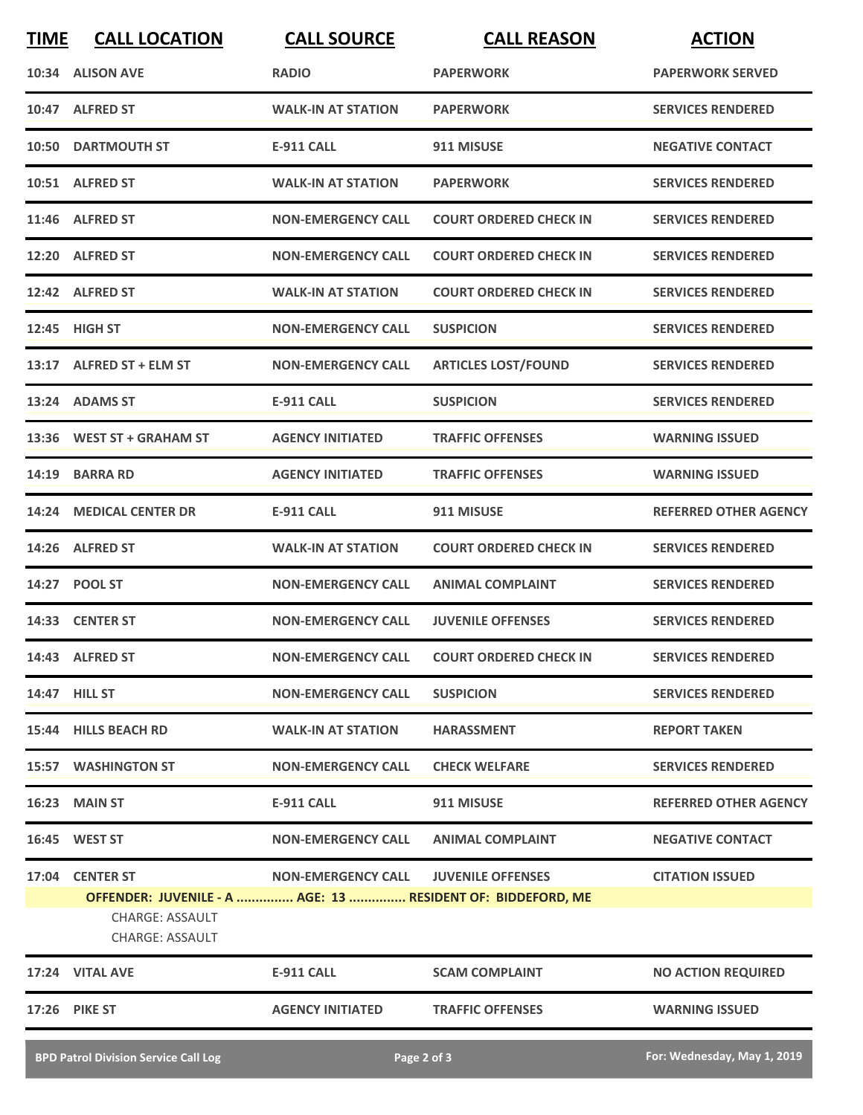| <b>TIME</b> | <b>CALL LOCATION</b>                             | <b>CALL SOURCE</b>        | <b>CALL REASON</b>                                          | <b>ACTION</b>                |
|-------------|--------------------------------------------------|---------------------------|-------------------------------------------------------------|------------------------------|
| 10:34       | <b>ALISON AVE</b>                                | <b>RADIO</b>              | <b>PAPERWORK</b>                                            | <b>PAPERWORK SERVED</b>      |
|             | 10:47 ALFRED ST                                  | <b>WALK-IN AT STATION</b> | <b>PAPERWORK</b>                                            | <b>SERVICES RENDERED</b>     |
| 10:50       | <b>DARTMOUTH ST</b>                              | <b>E-911 CALL</b>         | 911 MISUSE                                                  | <b>NEGATIVE CONTACT</b>      |
|             | 10:51 ALFRED ST                                  | <b>WALK-IN AT STATION</b> | <b>PAPERWORK</b>                                            | <b>SERVICES RENDERED</b>     |
|             | 11:46 ALFRED ST                                  | <b>NON-EMERGENCY CALL</b> | <b>COURT ORDERED CHECK IN</b>                               | <b>SERVICES RENDERED</b>     |
|             | 12:20 ALFRED ST                                  | <b>NON-EMERGENCY CALL</b> | <b>COURT ORDERED CHECK IN</b>                               | <b>SERVICES RENDERED</b>     |
|             | 12:42 ALFRED ST                                  | <b>WALK-IN AT STATION</b> | <b>COURT ORDERED CHECK IN</b>                               | <b>SERVICES RENDERED</b>     |
|             | 12:45 HIGH ST                                    | <b>NON-EMERGENCY CALL</b> | <b>SUSPICION</b>                                            | <b>SERVICES RENDERED</b>     |
|             | 13:17 ALFRED ST + ELM ST                         | <b>NON-EMERGENCY CALL</b> | <b>ARTICLES LOST/FOUND</b>                                  | <b>SERVICES RENDERED</b>     |
| 13:24       | <b>ADAMS ST</b>                                  | <b>E-911 CALL</b>         | <b>SUSPICION</b>                                            | <b>SERVICES RENDERED</b>     |
| 13:36       | <b>WEST ST + GRAHAM ST</b>                       | <b>AGENCY INITIATED</b>   | <b>TRAFFIC OFFENSES</b>                                     | <b>WARNING ISSUED</b>        |
| 14:19       | <b>BARRA RD</b>                                  | <b>AGENCY INITIATED</b>   | <b>TRAFFIC OFFENSES</b>                                     | <b>WARNING ISSUED</b>        |
| 14:24       | <b>MEDICAL CENTER DR</b>                         | <b>E-911 CALL</b>         | 911 MISUSE                                                  | <b>REFERRED OTHER AGENCY</b> |
| 14:26       | <b>ALFRED ST</b>                                 | <b>WALK-IN AT STATION</b> | <b>COURT ORDERED CHECK IN</b>                               | <b>SERVICES RENDERED</b>     |
|             | 14:27 POOL ST                                    | <b>NON-EMERGENCY CALL</b> | <b>ANIMAL COMPLAINT</b>                                     | <b>SERVICES RENDERED</b>     |
|             | 14:33 CENTER ST                                  | <b>NON-EMERGENCY CALL</b> | <b>JUVENILE OFFENSES</b>                                    | <b>SERVICES RENDERED</b>     |
|             | 14:43 ALFRED ST                                  | <b>NON-EMERGENCY CALL</b> | <b>COURT ORDERED CHECK IN</b>                               | <b>SERVICES RENDERED</b>     |
|             | 14:47 HILL ST                                    | <b>NON-EMERGENCY CALL</b> | <b>SUSPICION</b>                                            | <b>SERVICES RENDERED</b>     |
|             | 15:44 HILLS BEACH RD                             | <b>WALK-IN AT STATION</b> | <b>HARASSMENT</b>                                           | <b>REPORT TAKEN</b>          |
|             | <b>15:57 WASHINGTON ST</b>                       | <b>NON-EMERGENCY CALL</b> | <b>CHECK WELFARE</b>                                        | <b>SERVICES RENDERED</b>     |
|             | <b>16:23 MAIN ST</b>                             | <b>E-911 CALL</b>         | 911 MISUSE                                                  | <b>REFERRED OTHER AGENCY</b> |
|             | 16:45 WEST ST                                    | <b>NON-EMERGENCY CALL</b> | <b>ANIMAL COMPLAINT</b>                                     | <b>NEGATIVE CONTACT</b>      |
|             | 17:04 CENTER ST                                  | <b>NON-EMERGENCY CALL</b> | <b>JUVENILE OFFENSES</b>                                    | <b>CITATION ISSUED</b>       |
|             | <b>CHARGE: ASSAULT</b><br><b>CHARGE: ASSAULT</b> |                           | OFFENDER: JUVENILE - A  AGE: 13  RESIDENT OF: BIDDEFORD, ME |                              |
|             | 17:24 VITAL AVE                                  | <b>E-911 CALL</b>         | <b>SCAM COMPLAINT</b>                                       | <b>NO ACTION REQUIRED</b>    |
|             | 17:26 PIKE ST                                    | <b>AGENCY INITIATED</b>   | <b>TRAFFIC OFFENSES</b>                                     | <b>WARNING ISSUED</b>        |
|             |                                                  |                           |                                                             |                              |